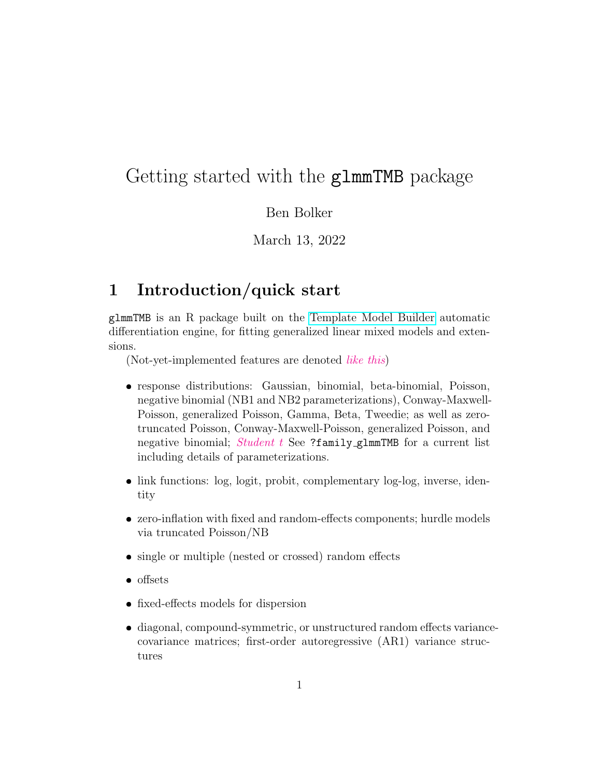# Getting started with the glmmTMB package

Ben Bolker

March 13, 2022

### 1 Introduction/quick start

glmmTMB is an R package built on the [Template Model Builder](https://github.com/kaskr/adcomp) automatic differentiation engine, for fitting generalized linear mixed models and extensions.

(Not-yet-implemented features are denoted like this)

- response distributions: Gaussian, binomial, beta-binomial, Poisson, negative binomial (NB1 and NB2 parameterizations), Conway-Maxwell-Poisson, generalized Poisson, Gamma, Beta, Tweedie; as well as zerotruncated Poisson, Conway-Maxwell-Poisson, generalized Poisson, and negative binomial; Student t See ?family\_glmmTMB for a current list including details of parameterizations.
- link functions: log, logit, probit, complementary log-log, inverse, identity
- zero-inflation with fixed and random-effects components; hurdle models via truncated Poisson/NB
- single or multiple (nested or crossed) random effects
- offsets
- fixed-effects models for dispersion
- diagonal, compound-symmetric, or unstructured random effects variancecovariance matrices; first-order autoregressive (AR1) variance structures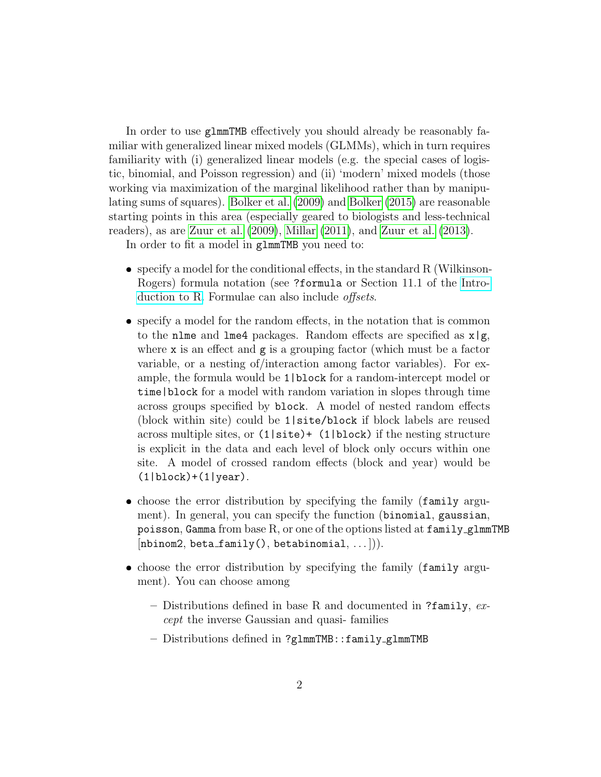In order to use glmmTMB effectively you should already be reasonably familiar with generalized linear mixed models (GLMMs), which in turn requires familiarity with (i) generalized linear models (e.g. the special cases of logistic, binomial, and Poisson regression) and (ii) 'modern' mixed models (those working via maximization of the marginal likelihood rather than by manipulating sums of squares). [Bolker et al.](#page-7-0) [\(2009\)](#page-7-0) and [Bolker](#page-5-0) [\(2015\)](#page-5-0) are reasonable starting points in this area (especially geared to biologists and less-technical readers), as are [Zuur et al.](#page-7-1) [\(2009\)](#page-7-1), [Millar](#page-7-2) [\(2011\)](#page-7-2), and [Zuur et al.](#page-7-3) [\(2013\)](#page-7-3).

In order to fit a model in glmmTMB you need to:

- specify a model for the conditional effects, in the standard R (Wilkinson-Rogers) formula notation (see ?formula or Section 11.1 of the [Intro](http://cran.r-project.org/doc/manuals/R-intro.pdf)[duction to R.](http://cran.r-project.org/doc/manuals/R-intro.pdf) Formulae can also include *offsets*.
- specify a model for the random effects, in the notation that is common to the nlme and lme4 packages. Random effects are specified as  $x|g$ , where x is an effect and g is a grouping factor (which must be a factor variable, or a nesting of/interaction among factor variables). For example, the formula would be 1|block for a random-intercept model or time|block for a model with random variation in slopes through time across groups specified by block. A model of nested random effects (block within site) could be 1|site/block if block labels are reused across multiple sites, or (1|site)+ (1|block) if the nesting structure is explicit in the data and each level of block only occurs within one site. A model of crossed random effects (block and year) would be  $(1|block)+(1|year)$ .
- choose the error distribution by specifying the family (family argument). In general, you can specify the function (binomial, gaussian, poisson, Gamma from base R, or one of the options listed at  $f$ amily glmmTMB  $[nbinom2, beta_family(), betabinomial, ...]).$
- choose the error distribution by specifying the family (family argument). You can choose among
	- Distributions defined in base R and documented in ?family,  $ex$ cept the inverse Gaussian and quasi- families
	- Distributions defined in ?glmmTMB::family glmmTMB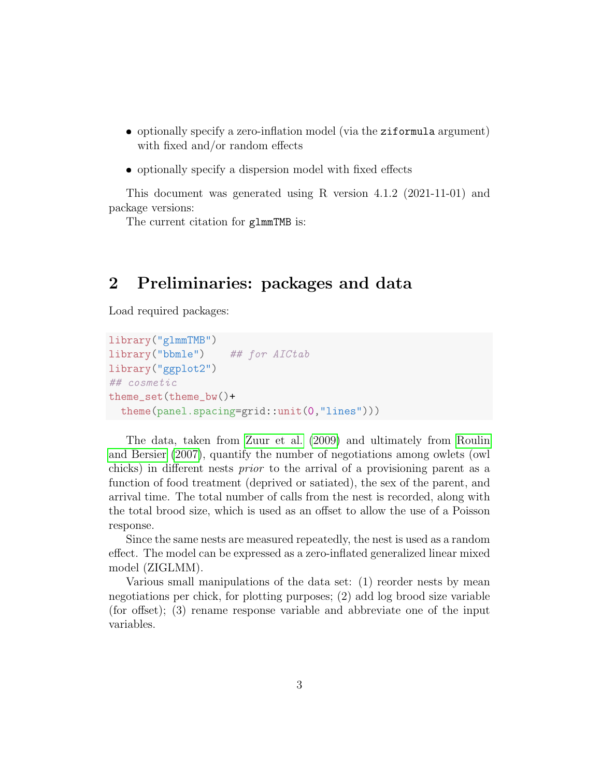- optionally specify a zero-inflation model (via the ziformula argument) with fixed and/or random effects
- optionally specify a dispersion model with fixed effects

This document was generated using R version 4.1.2 (2021-11-01) and package versions:

The current citation for glmmTMB is:

### 2 Preliminaries: packages and data

Load required packages:

```
library("glmmTMB")
library("bbmle") ## for AICtab
library("ggplot2")
## cosmetic
theme_set(theme_bw()+
 theme(panel.spacing=grid::unit(0,"lines")))
```
The data, taken from [Zuur et al.](#page-7-1) [\(2009\)](#page-7-1) and ultimately from [Roulin](#page-7-4) [and Bersier](#page-7-4) [\(2007\)](#page-7-4), quantify the number of negotiations among owlets (owl chicks) in different nests prior to the arrival of a provisioning parent as a function of food treatment (deprived or satiated), the sex of the parent, and arrival time. The total number of calls from the nest is recorded, along with the total brood size, which is used as an offset to allow the use of a Poisson response.

Since the same nests are measured repeatedly, the nest is used as a random effect. The model can be expressed as a zero-inflated generalized linear mixed model (ZIGLMM).

Various small manipulations of the data set: (1) reorder nests by mean negotiations per chick, for plotting purposes; (2) add log brood size variable (for offset); (3) rename response variable and abbreviate one of the input variables.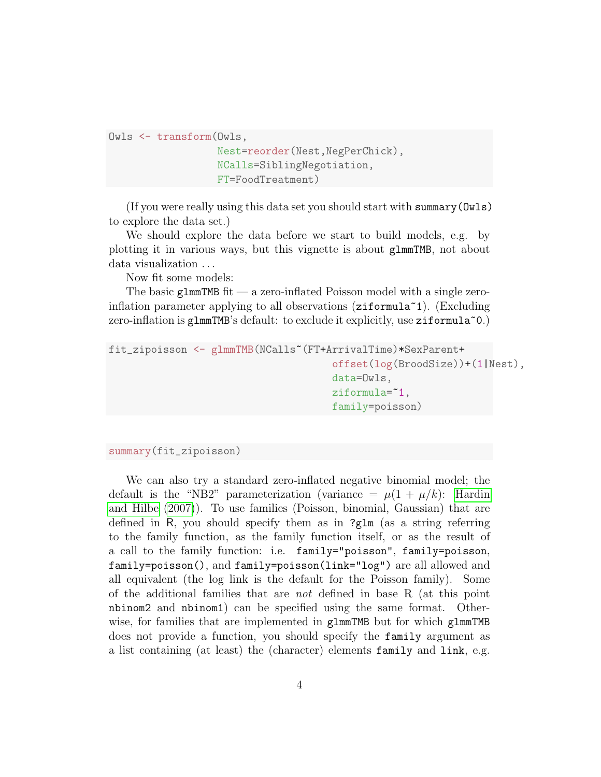```
Owls <- transform(Owls,
```

```
Nest=reorder(Nest,NegPerChick),
NCalls=SiblingNegotiation,
FT=FoodTreatment)
```
(If you were really using this data set you should start with summary(Owls) to explore the data set.)

We should explore the data before we start to build models, e.g. by plotting it in various ways, but this vignette is about glmmTMB, not about data visualization . . .

Now fit some models:

The basic glmmTMB fit — a zero-inflated Poisson model with a single zeroinflation parameter applying to all observations  $(ziformula<sup>1</sup>)$ . (Excluding zero-inflation is glmmTMB's default: to exclude it explicitly, use  $\text{ziformula}^{\,\,\circ}\,0$ .)

```
fit_zipoisson <- glmmTMB(NCalls~(FT+ArrivalTime)*SexParent+
                                      offset(log(BroodSize))+(1|Nest),
                                      data=Owls,
                                      ziformula=~1,
                                      family=poisson)
```
#### summary(fit\_zipoisson)

We can also try a standard zero-inflated negative binomial model; the default is the "NB2" parameterization (variance  $= \mu(1 + \mu/k)$ : [Hardin](#page-7-5) [and Hilbe](#page-7-5) [\(2007\)](#page-7-5)). To use families (Poisson, binomial, Gaussian) that are defined in R, you should specify them as in ?glm (as a string referring to the family function, as the family function itself, or as the result of a call to the family function: i.e. family="poisson", family=poisson, family=poisson(), and family=poisson(link="log") are all allowed and all equivalent (the log link is the default for the Poisson family). Some of the additional families that are not defined in base R (at this point nbinom2 and nbinom1) can be specified using the same format. Otherwise, for families that are implemented in glmmTMB but for which glmmTMB does not provide a function, you should specify the family argument as a list containing (at least) the (character) elements family and link, e.g.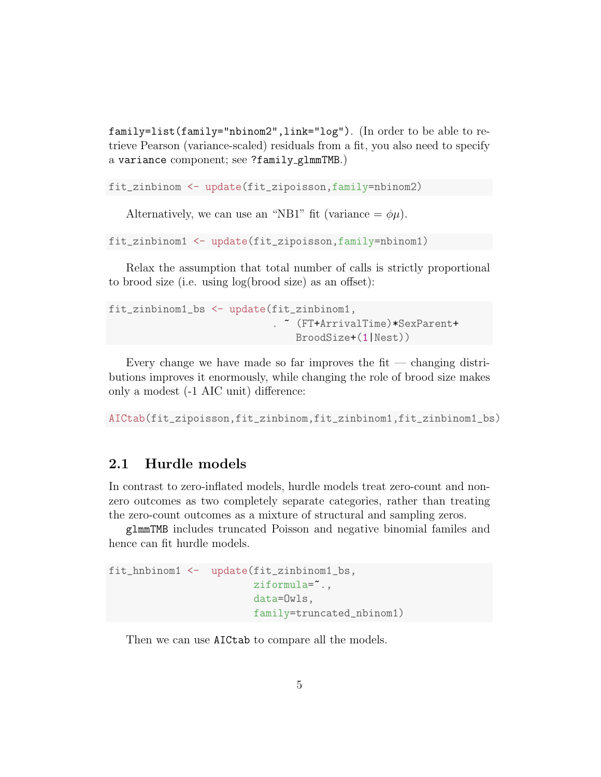family=list(family="nbinom2",link="log"). (In order to be able to retrieve Pearson (variance-scaled) residuals from a fit, you also need to specify a variance component; see ?family glmmTMB.)

fit\_zinbinom <- update(fit\_zipoisson,family=nbinom2)

Alternatively, we can use an "NB1" fit (variance  $= \phi \mu$ ).

fit\_zinbinom1 <- update(fit\_zipoisson,family=nbinom1)

Relax the assumption that total number of calls is strictly proportional to brood size (i.e. using log(brood size) as an offset):

```
fit_zinbinom1_bs <- update(fit_zinbinom1,
                            . ~ (FT+ArrivalTime)*SexParent+
                                BroodSize+(1|Nest))
```
Every change we have made so far improves the fit  $-$  changing distributions improves it enormously, while changing the role of brood size makes only a modest (-1 AIC unit) difference:

AICtab(fit\_zipoisson,fit\_zinbinom,fit\_zinbinom1,fit\_zinbinom1\_bs)

### 2.1 Hurdle models

In contrast to zero-inflated models, hurdle models treat zero-count and nonzero outcomes as two completely separate categories, rather than treating the zero-count outcomes as a mixture of structural and sampling zeros.

glmmTMB includes truncated Poisson and negative binomial familes and hence can fit hurdle models.

```
fit_hnbinom1 <- update(fit_zinbinom1_bs,
                        ziformula=".,
                        data=Owls,
                        family=truncated_nbinom1)
```
Then we can use AICtab to compare all the models.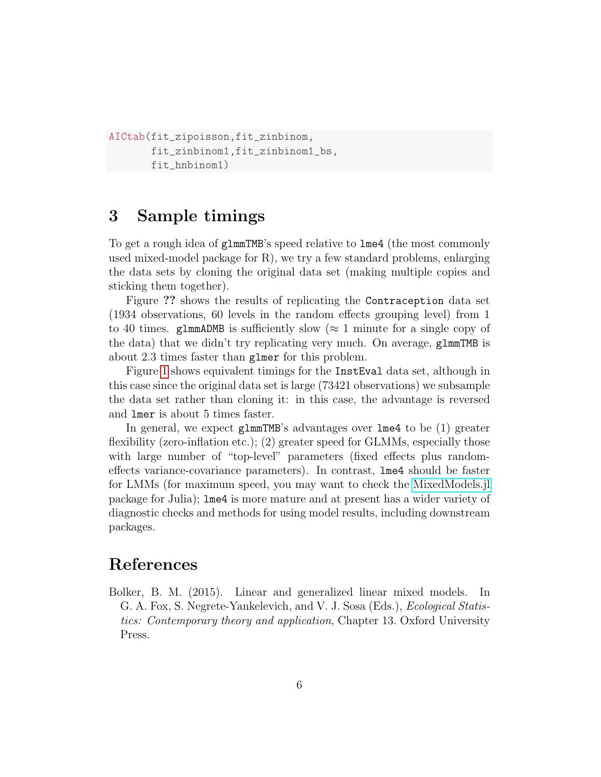```
AICtab(fit_zipoisson,fit_zinbinom,
       fit_zinbinom1,fit_zinbinom1_bs,
       fit_hnbinom1)
```
### 3 Sample timings

To get a rough idea of glmmTMB's speed relative to lme4 (the most commonly used mixed-model package for R), we try a few standard problems, enlarging the data sets by cloning the original data set (making multiple copies and sticking them together).

Figure ?? shows the results of replicating the Contraception data set (1934 observations, 60 levels in the random effects grouping level) from 1 to 40 times. glmmADMB is sufficiently slow ( $\approx$  1 minute for a single copy of the data) that we didn't try replicating very much. On average, glmmTMB is about 2.3 times faster than glmer for this problem.

Figure [1](#page-6-0) shows equivalent timings for the InstEval data set, although in this case since the original data set is large (73421 observations) we subsample the data set rather than cloning it: in this case, the advantage is reversed and lmer is about 5 times faster.

In general, we expect glmmTMB's advantages over lme4 to be (1) greater flexibility (zero-inflation etc.); (2) greater speed for GLMMs, especially those with large number of "top-level" parameters (fixed effects plus randomeffects variance-covariance parameters). In contrast, lme4 should be faster for LMMs (for maximum speed, you may want to check the [MixedModels.jl](https://github.com/dmbates/MixedModels.jl) package for Julia); lme4 is more mature and at present has a wider variety of diagnostic checks and methods for using model results, including downstream packages.

## References

<span id="page-5-0"></span>Bolker, B. M. (2015). Linear and generalized linear mixed models. In G. A. Fox, S. Negrete-Yankelevich, and V. J. Sosa (Eds.), Ecological Statistics: Contemporary theory and application, Chapter 13. Oxford University Press.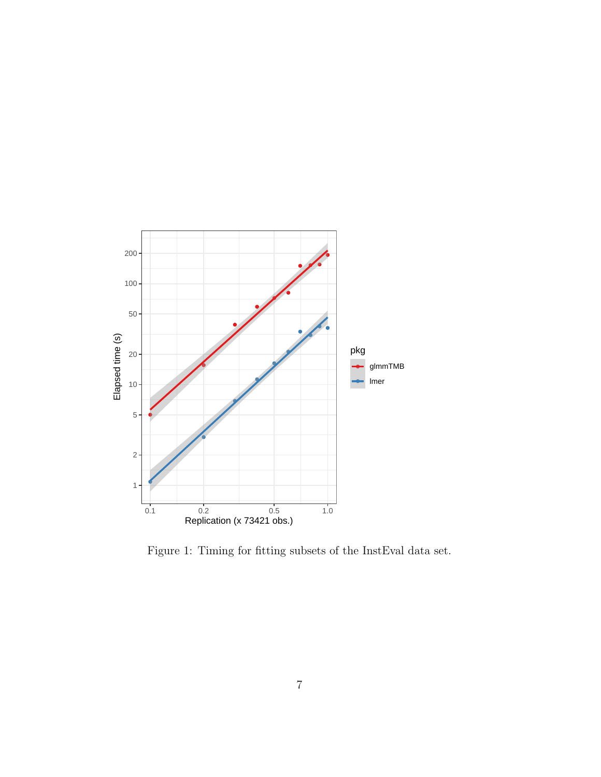

<span id="page-6-0"></span>Figure 1: Timing for fitting subsets of the InstEval data set.